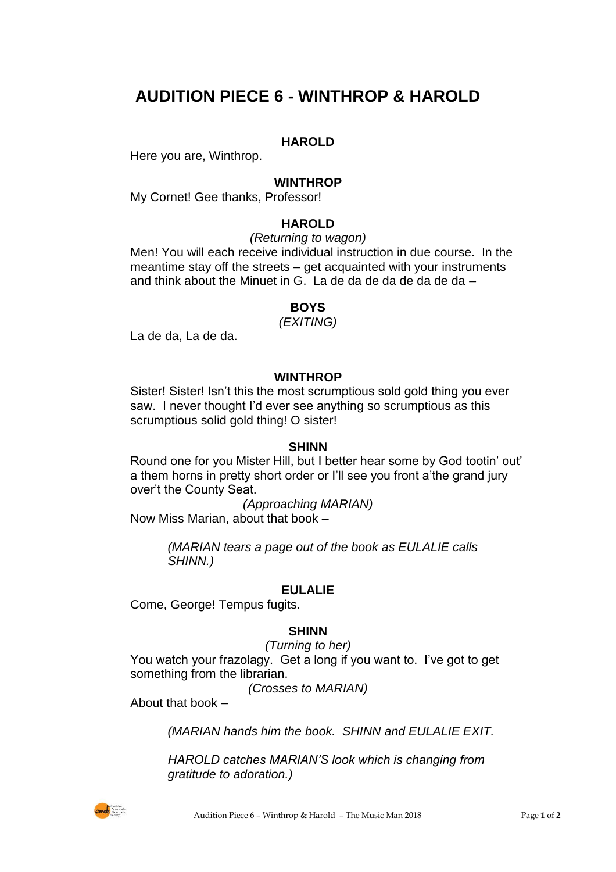# **AUDITION PIECE 6 - WINTHROP & HAROLD**

# **HAROLD**

Here you are, Winthrop.

#### **WINTHROP**

My Cornet! Gee thanks, Professor!

### **HAROLD**

*(Returning to wagon)*

Men! You will each receive individual instruction in due course. In the meantime stay off the streets – get acquainted with your instruments and think about the Minuet in G. La de da de da de da de da –

## **BOYS**

#### *(EXITING)*

La de da, La de da.

#### **WINTHROP**

Sister! Sister! Isn't this the most scrumptious sold gold thing you ever saw. I never thought I'd ever see anything so scrumptious as this scrumptious solid gold thing! O sister!

#### **SHINN**

Round one for you Mister Hill, but I better hear some by God tootin' out' a them horns in pretty short order or I'll see you front a'the grand jury over't the County Seat.

*(Approaching MARIAN)* Now Miss Marian, about that book –

> *(MARIAN tears a page out of the book as EULALIE calls SHINN.)*

#### **EULALIE**

Come, George! Tempus fugits.

#### **SHINN**

*(Turning to her)* You watch your frazolagy. Get a long if you want to. I've got to get something from the librarian.

*(Crosses to MARIAN)*

About that book –

*(MARIAN hands him the book. SHINN and EULALIE EXIT.*

*HAROLD catches MARIAN'S look which is changing from gratitude to adoration.)*